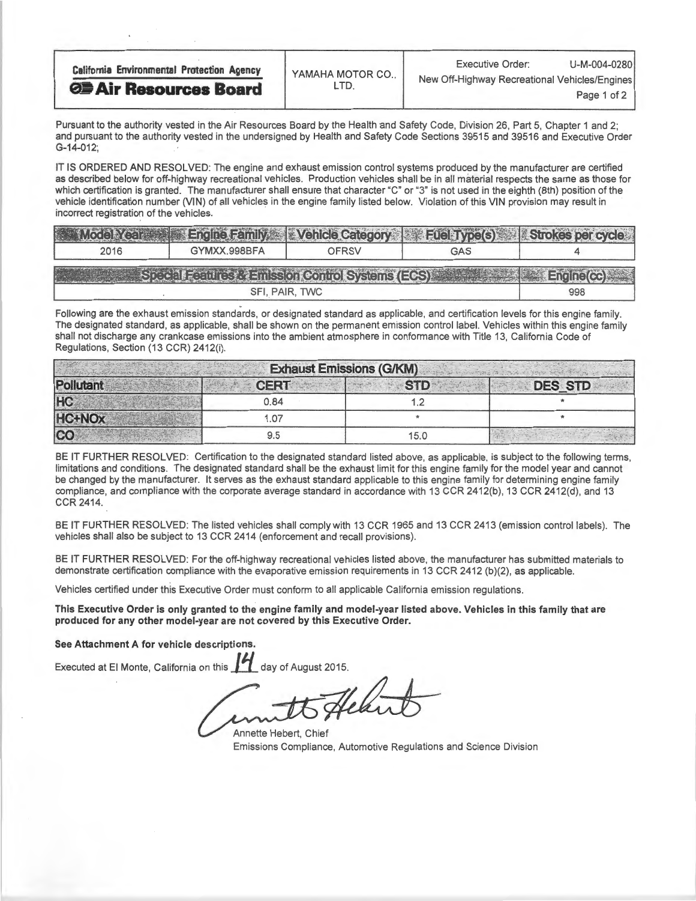| <b>California Environmental Protection Agency</b> | YAMAHA MOTOR CO.,<br>. I D. | U-M-004-0280<br><b>Executive Order:</b>                      |
|---------------------------------------------------|-----------------------------|--------------------------------------------------------------|
| <b>OF Air Resources Board</b>                     |                             | New Off-Highway Recreational Vehicles/Engines<br>Page 1 of 2 |

Pursuant to the authority vested in the Air Resources Board by the Health and Safety Code, Division 26, Part 5, Chapter 1 and 2; and pursuant to the authority vested in the undersigned by Health and Safety Code Sections 39515 and 39516 and Executive Order G-14-012;

IT IS ORDERED AND RESOLVED: The engine and exhaust emission control systems produced by the manufacturer are certified as described below for off-highway recreational vehicles. Production vehicles shall be in all material respects the same as those for which certification is granted. The manufacturer shall ensure that character "C" or "3" is not used in the eighth (8th) position of the vehicle identification number (VIN) of all vehicles in the engine family listed below. Violation of this VIN provision may result in incorrect registration of the vehicles.

| Model Year                                                             |              |       | Engine Family Vehicle Category Fuel Type(s) Strokes per cycle |     |  |  |
|------------------------------------------------------------------------|--------------|-------|---------------------------------------------------------------|-----|--|--|
| 2016                                                                   | GYMXX.998BFA | OFRSV | GAS                                                           |     |  |  |
| Special Features & Emission Control Systems (ECS)<br><b>Engine(cc)</b> |              |       |                                                               |     |  |  |
| SFI, PAIR, TWC                                                         |              |       |                                                               | 998 |  |  |

Following are the exhaust emission standards, or designated standard as applicable, and certification levels for this engine family. The designated standard, as applicable, shall be shown on the permanent emission control label. Vehicles within this engine family shall not discharge any crankcase emissions into the ambient atmosphere in conformance with Title 13, California Code of Regulations, Section (13 CCR) 2412(1).

| <b>Exhaust Emissions (G/KM)</b> |             |            |                |  |  |
|---------------------------------|-------------|------------|----------------|--|--|
| Pollutant                       | <b>CERT</b> | <b>STD</b> | <b>DES STD</b> |  |  |
| <b>HC</b>                       | 0.84        |            |                |  |  |
| <b>HC+NOx</b>                   | 1.07        |            |                |  |  |
| <b>CO</b>                       | 9.5         | 15.0       |                |  |  |

BE IT FURTHER RESOLVED: Certification to the designated standard listed above, as applicable, is subject to the following terms, limitations and conditions. The designated standard shall be the exhaust limit for this engine family for the model year and cannot be changed by the manufacturer. It serves as the exhaust standard applicable to this engine family for determining engine family compliance, and compliance with the corporate average standard in accordance with 13 CCR 2412(b), 13 CCR 2412(d), and 13 CCR 2414.

BE IT FURTHER RESOLVED: The listed vehicles shall comply with 13 CCR 1965 and 13 CCR 2413 (emission control labels). The vehicles shall also be subject to 13 CCR 2414 (enforcement and recall provisions).

BE IT FURTHER RESOLVED: For the off-highway recreational vehicles listed above, the manufacturer has submitted materials to demonstrate certification compliance with the evaporative emission requirements in 13 CCR 2412 (b)(2), as applicable.

Vehicles certified under this Executive Order must conform to all applicable California emission regulations.

This Executive Order is only granted to the engine family and model-year listed above. Vehicles in this family that are produced for any other model-year are not covered by this Executive Order.

See Attachment A for vehicle descriptions.

Executed at El Monte, California on this 11 day of August 2015.

Annette Hebert, Chief Emissions Compliance, Automotive Regulations and Science Division